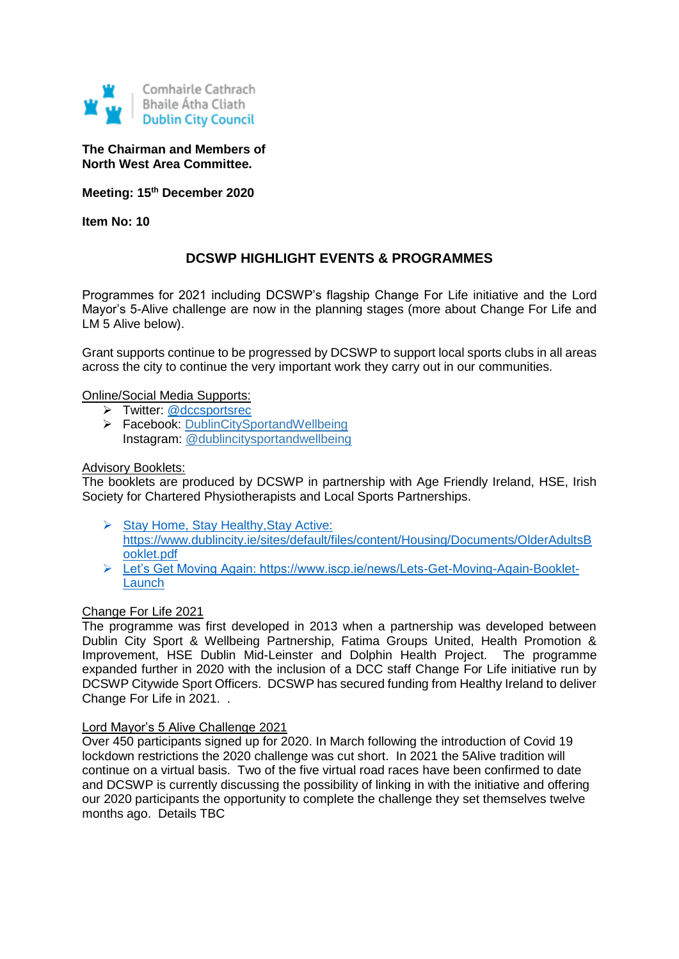

**The Chairman and Members of North West Area Committee.**

**Meeting: 15th December 2020**

**Item No: 10**

# **DCSWP HIGHLIGHT EVENTS & PROGRAMMES**

Programmes for 2021 including DCSWP's flagship Change For Life initiative and the Lord Mayor's 5-Alive challenge are now in the planning stages (more about Change For Life and LM 5 Alive below).

Grant supports continue to be progressed by DCSWP to support local sports clubs in all areas across the city to continue the very important work they carry out in our communities.

Online/Social Media Supports:

- > Twitter: @dccsportsrec
- Facebook: [DublinCitySportandWellbeing](https://www.facebook.com/DublinCitySportandWellbeingPartnership/) Instagram: @dublincitysportandwellbeing

#### Advisory Booklets:

The booklets are produced by DCSWP in partnership with Age Friendly Ireland, HSE, Irish Society for Chartered Physiotherapists and Local Sports Partnerships.

- Stay Home, Stay Healthy, Stay Active: [https://www.dublincity.ie/sites/default/files/content/Housing/Documents/OlderAdultsB](https://www.dublincity.ie/sites/default/files/content/Housing/Documents/OlderAdultsBooklet.pdf) [ooklet.pdf](https://www.dublincity.ie/sites/default/files/content/Housing/Documents/OlderAdultsBooklet.pdf)
- [Let's Get Moving Again: https://www.iscp.ie/news/Lets-Get-Moving-Again-Booklet-](https://www.iscp.ie/news/Lets-Get-Moving-Again-Booklet-Launch)[Launch](https://www.iscp.ie/news/Lets-Get-Moving-Again-Booklet-Launch)

#### Change For Life 2021

The programme was first developed in 2013 when a partnership was developed between Dublin City Sport & Wellbeing Partnership, Fatima Groups United, Health Promotion & Improvement, HSE Dublin Mid-Leinster and Dolphin Health Project. The programme expanded further in 2020 with the inclusion of a DCC staff Change For Life initiative run by DCSWP Citywide Sport Officers. DCSWP has secured funding from Healthy Ireland to deliver Change For Life in 2021. .

#### Lord Mayor's 5 Alive Challenge 2021

Over 450 participants signed up for 2020. In March following the introduction of Covid 19 lockdown restrictions the 2020 challenge was cut short. In 2021 the 5Alive tradition will continue on a virtual basis. Two of the five virtual road races have been confirmed to date and DCSWP is currently discussing the possibility of linking in with the initiative and offering our 2020 participants the opportunity to complete the challenge they set themselves twelve months ago. Details TBC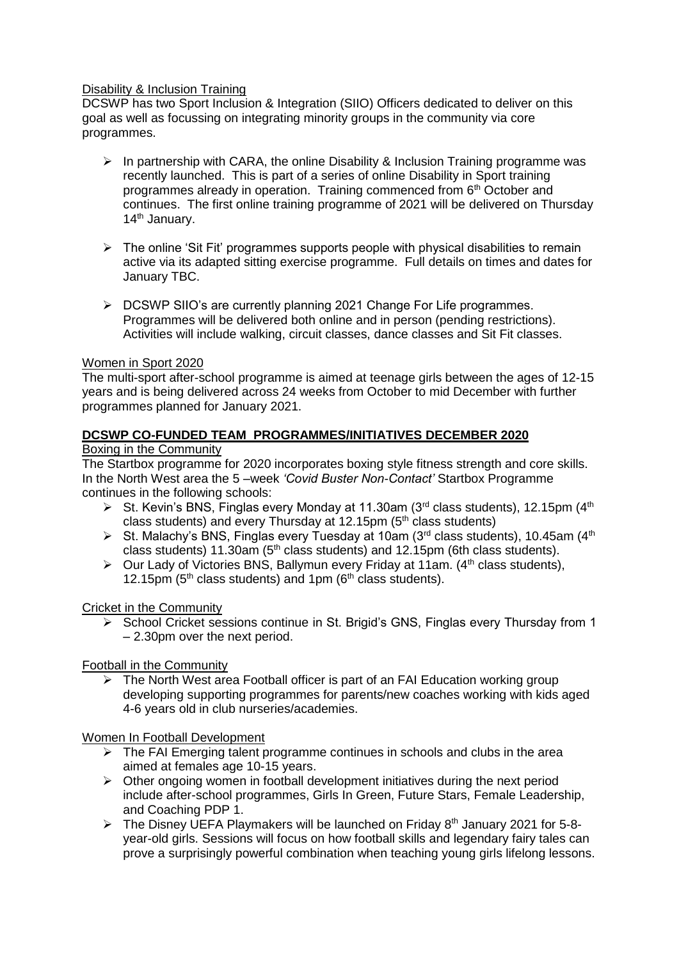### Disability & Inclusion Training

DCSWP has two Sport Inclusion & Integration (SIIO) Officers dedicated to deliver on this goal as well as focussing on integrating minority groups in the community via core programmes.

- $\triangleright$  In partnership with CARA, the online Disability & Inclusion Training programme was recently launched. This is part of a series of online Disability in Sport training programmes already in operation. Training commenced from 6<sup>th</sup> October and continues. The first online training programme of 2021 will be delivered on Thursday 14<sup>th</sup> January.
- $\triangleright$  The online 'Sit Fit' programmes supports people with physical disabilities to remain active via its adapted sitting exercise programme. Full details on times and dates for January TBC.
- $\triangleright$  DCSWP SIIO's are currently planning 2021 Change For Life programmes. Programmes will be delivered both online and in person (pending restrictions). Activities will include walking, circuit classes, dance classes and Sit Fit classes.

#### Women in Sport 2020

The multi-sport after-school programme is aimed at teenage girls between the ages of 12-15 years and is being delivered across 24 weeks from October to mid December with further programmes planned for January 2021.

#### **DCSWP CO-FUNDED TEAM PROGRAMMES/INITIATIVES DECEMBER 2020** Boxing in the Community

# The Startbox programme for 2020 incorporates boxing style fitness strength and core skills. In the North West area the 5 –week *'Covid Buster Non-Contact'* Startbox Programme

continues in the following schools:

- St. Kevin's BNS, Finglas every Monday at 11.30am (3<sup>rd</sup> class students), 12.15pm (4<sup>th</sup>) class students) and every Thursday at 12.15pm  $(5<sup>th</sup>$  class students)
- St. Malachy's BNS, Finglas every Tuesday at 10am (3<sup>rd</sup> class students), 10.45am (4<sup>th</sup>) class students) 11.30am ( $5<sup>th</sup>$  class students) and 12.15pm (6th class students).
- $\triangleright$  Our Lady of Victories BNS, Ballymun every Friday at 11am. (4<sup>th</sup> class students), 12.15pm ( $5<sup>th</sup>$  class students) and 1pm ( $6<sup>th</sup>$  class students).

## Cricket in the Community

 $\triangleright$  School Cricket sessions continue in St. Brigid's GNS, Finglas every Thursday from 1 – 2.30pm over the next period.

## Football in the Community

 $\triangleright$  The North West area Football officer is part of an FAI Education working group developing supporting programmes for parents/new coaches working with kids aged 4-6 years old in club nurseries/academies.

#### Women In Football Development

- $\triangleright$  The FAI Emerging talent programme continues in schools and clubs in the area aimed at females age 10-15 years.
- $\triangleright$  Other ongoing women in football development initiatives during the next period include after-school programmes, Girls In Green, Future Stars, Female Leadership, and Coaching PDP 1.
- $\triangleright$  The Disney UEFA Playmakers will be launched on Friday 8<sup>th</sup> January 2021 for 5-8year-old girls. Sessions will focus on how football skills and legendary fairy tales can prove a surprisingly powerful combination when teaching young girls lifelong lessons.